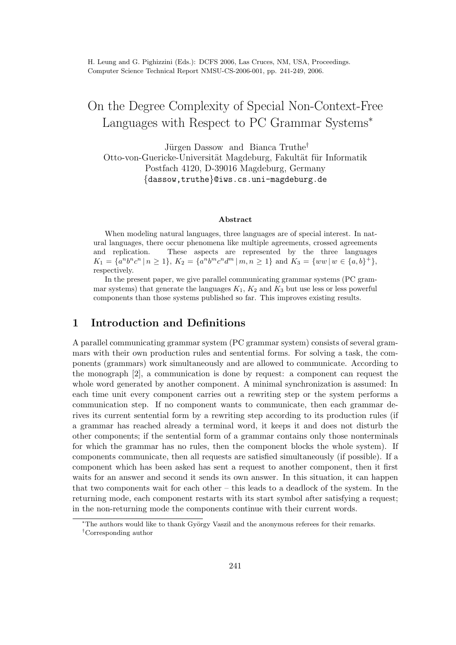# On the Degree Complexity of Special Non-Context-Free Languages with Respect to PC Grammar Systems<sup>∗</sup>

Jürgen Dassow and Bianca Truthe<sup>†</sup> Otto-von-Guericke-Universität Magdeburg, Fakultät für Informatik Postfach 4120, D-39016 Magdeburg, Germany {dassow,truthe}@iws.cs.uni-magdeburg.de

#### Abstract

When modeling natural languages, three languages are of special interest. In natural languages, there occur phenomena like multiple agreements, crossed agreements and replication. These aspects are represented by the three languages  $K_1 = \{a^n b^n c^n \mid n \ge 1\}, K_2 = \{a^n b^m c^n d^m \mid m, n \ge 1\} \text{ and } K_3 = \{ww \mid w \in \{a, b\}^+\},$ respectively.

In the present paper, we give parallel communicating grammar systems (PC grammar systems) that generate the languages  $K_1, K_2$  and  $K_3$  but use less or less powerful components than those systems published so far. This improves existing results.

# 1 Introduction and Definitions

A parallel communicating grammar system (PC grammar system) consists of several grammars with their own production rules and sentential forms. For solving a task, the components (grammars) work simultaneously and are allowed to communicate. According to the monograph [2], a communication is done by request: a component can request the whole word generated by another component. A minimal synchronization is assumed: In each time unit every component carries out a rewriting step or the system performs a communication step. If no component wants to communicate, then each grammar derives its current sentential form by a rewriting step according to its production rules (if a grammar has reached already a terminal word, it keeps it and does not disturb the other components; if the sentential form of a grammar contains only those nonterminals for which the grammar has no rules, then the component blocks the whole system). If components communicate, then all requests are satisfied simultaneously (if possible). If a component which has been asked has sent a request to another component, then it first waits for an answer and second it sends its own answer. In this situation, it can happen that two components wait for each other – this leads to a deadlock of the system. In the returning mode, each component restarts with its start symbol after satisfying a request; in the non-returning mode the components continue with their current words.

<sup>\*</sup>The authors would like to thank György Vaszil and the anonymous referees for their remarks. †Corresponding author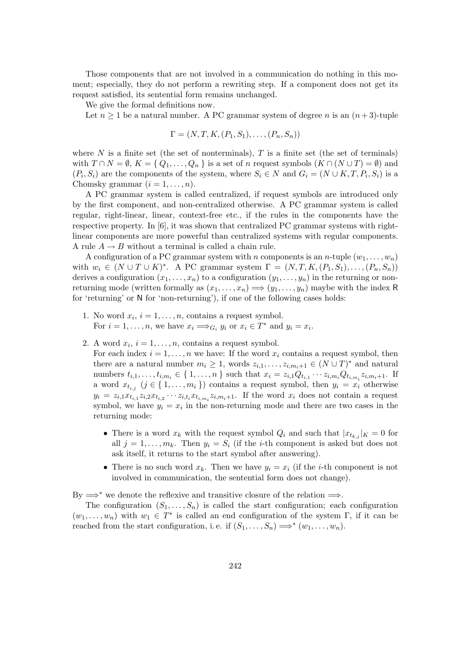Those components that are not involved in a communication do nothing in this moment; especially, they do not perform a rewriting step. If a component does not get its request satisfied, its sentential form remains unchanged.

We give the formal definitions now.

Let  $n \geq 1$  be a natural number. A PC grammar system of degree n is an  $(n+3)$ -tuple

$$
\Gamma = (N, T, K, (P_1, S_1), \ldots, (P_n, S_n))
$$

where N is a finite set (the set of nonterminals),  $T$  is a finite set (the set of terminals) with  $T \cap N = \emptyset$ ,  $K = \{ Q_1, \ldots, Q_n \}$  is a set of n request symbols  $(K \cap (N \cup T) = \emptyset)$  and  $(P_i, S_i)$  are the components of the system, where  $S_i \in N$  and  $G_i = (N \cup K, T, P_i, S_i)$  is a Chomsky grammar  $(i = 1, \ldots, n)$ .

A PC grammar system is called centralized, if request symbols are introduced only by the first component, and non-centralized otherwise. A PC grammar system is called regular, right-linear, linear, context-free etc., if the rules in the components have the respective property. In [6], it was shown that centralized PC grammar systems with rightlinear components are more powerful than centralized systems with regular components. A rule  $A \rightarrow B$  without a terminal is called a chain rule.

A configuration of a PC grammar system with n components is an n-tuple  $(w_1, \ldots, w_n)$ with  $w_i \in (N \cup T \cup K)^*$ . A PC grammar system  $\Gamma = (N, T, K, (P_1, S_1), \ldots, (P_n, S_n))$ derives a configuration  $(x_1, \ldots, x_n)$  to a configuration  $(y_1, \ldots, y_n)$  in the returning or nonreturning mode (written formally as  $(x_1, \ldots, x_n) \Longrightarrow (y_1, \ldots, y_n)$  maybe with the index R for 'returning' or N for 'non-returning'), if one of the following cases holds:

- 1. No word  $x_i$ ,  $i = 1, ..., n$ , contains a request symbol. For  $i = 1, ..., n$ , we have  $x_i \Longrightarrow_{G_i} y_i$  or  $x_i \in T^*$  and  $y_i = x_i$ .
- 2. A word  $x_i$ ,  $i = 1, ..., n$ , contains a request symbol.

For each index  $i = 1, \ldots, n$  we have: If the word  $x_i$  contains a request symbol, then there are a natural number  $m_i \geq 1$ , words  $z_{i,1}, \ldots, z_{i,m_i+1} \in (N \cup T)^*$  and natural numbers  $t_{i,1},...,t_{i,m_i} \in \{1,...,n\}$  such that  $x_i = z_{i,1}Q_{t_{i,1}}\cdots z_{i,m_i}Q_{t_{i,m_i}}z_{i,m_i+1}$ . If a word  $x_{t_{i,j}}$  ( $j \in \{1, \ldots, m_i\}$ ) contains a request symbol, then  $y_i = x_i$  otherwise  $y_i = z_{i,1}x_{t_{i,1}}z_{i,2}x_{t_{i,2}}\cdots z_{i,t_i}x_{t_{i,m_i}}z_{i,m_i+1}$ . If the word  $x_i$  does not contain a request symbol, we have  $y_i = x_i$  in the non-returning mode and there are two cases in the returning mode:

- There is a word  $x_k$  with the request symbol  $Q_i$  and such that  $|x_{t_{k,j}}|_K = 0$  for all  $j = 1, \ldots, m_k$ . Then  $y_i = S_i$  (if the *i*-th component is asked but does not ask itself, it returns to the start symbol after answering).
- There is no such word  $x_k$ . Then we have  $y_i = x_i$  (if the *i*-th component is not involved in communication, the sentential form does not change).

By  $\Rightarrow^*$  we denote the reflexive and transitive closure of the relation  $\Rightarrow$ .

The configuration  $(S_1, \ldots, S_n)$  is called the start configuration; each configuration  $(w_1, \ldots, w_n)$  with  $w_1 \in T^*$  is called an end configuration of the system  $\Gamma$ , if it can be reached from the start configuration, i.e. if  $(S_1, \ldots, S_n) \Longrightarrow^* (w_1, \ldots, w_n)$ .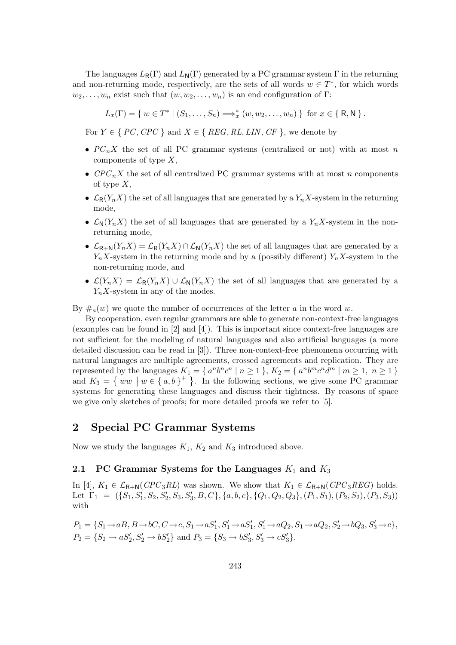The languages  $L_{\mathsf{R}}(\Gamma)$  and  $L_{\mathsf{N}}(\Gamma)$  generated by a PC grammar system  $\Gamma$  in the returning and non-returning mode, respectively, are the sets of all words  $w \in T^*$ , for which words  $w_2, \ldots, w_n$  exist such that  $(w, w_2, \ldots, w_n)$  is an end configuration of Γ:

 $L_x(\Gamma) = \{ w \in T^* \mid (S_1, \ldots, S_n) \Longrightarrow_x^* (w, w_2, \ldots, w_n) \}$  for  $x \in \{ R, N \}$ .

For  $Y \in \{PC, CPC\}$  and  $X \in \{REG, RL, LIN, CF\}$ , we denote by

- $PC_nX$  the set of all PC grammar systems (centralized or not) with at most n components of type  $X$ ,
- $CPC_nX$  the set of all centralized PC grammar systems with at most n components of type  $X$ ,
- $\mathcal{L}_{R}(Y_n X)$  the set of all languages that are generated by a  $Y_n X$ -system in the returning mode,
- $\mathcal{L}_N(Y_n X)$  the set of all languages that are generated by a  $Y_n X$ -system in the nonreturning mode,
- $\mathcal{L}_{R+N}(Y_nX)=\mathcal{L}_R(Y_nX)\cap \mathcal{L}_N(Y_nX)$  the set of all languages that are generated by a  $Y_nX$ -system in the returning mode and by a (possibly different)  $Y_nX$ -system in the non-returning mode, and
- $\mathcal{L}(Y_n X) = \mathcal{L}_R(Y_n X) \cup \mathcal{L}_N(Y_n X)$  the set of all languages that are generated by a  $Y_nX$ -system in any of the modes.

By  $\#_a(w)$  we quote the number of occurrences of the letter a in the word w.

By cooperation, even regular grammars are able to generate non-context-free languages (examples can be found in [2] and [4]). This is important since context-free languages are not sufficient for the modeling of natural languages and also artificial languages (a more detailed discussion can be read in [3]). Three non-context-free phenomena occurring with natural languages are multiple agreements, crossed agreements and replication. They are represented by the languages  $K_1 = \{ a^n b^n c^n \mid n \ge 1 \}, K_2 = \{ a^n b^m c^n d^m \mid m \ge 1, n \ge 1 \}$ and  $K_3 = \{ ww \mid w \in \{a, b\}^+ \}$ . In the following sections, we give some PC grammar systems for generating these languages and discuss their tightness. By reasons of space we give only sketches of proofs; for more detailed proofs we refer to [5].

## 2 Special PC Grammar Systems

Now we study the languages  $K_1$ ,  $K_2$  and  $K_3$  introduced above.

## 2.1 PC Grammar Systems for the Languages  $K_1$  and  $K_3$

In [4],  $K_1 \in \mathcal{L}_{\mathsf{R}+\mathsf{N}}(CPC_3RL)$  was shown. We show that  $K_1 \in \mathcal{L}_{\mathsf{R}+\mathsf{N}}(CPC_3REG)$  holds. Let  $\Gamma_1 = (\{S_1, S_1', S_2, S_2', S_3, S_3', B, C\}, \{a, b, c\}, \{Q_1, Q_2, Q_3\}, (P_1, S_1), (P_2, S_2), (P_3, S_3))$ with

$$
P_1 = \{S_1 \to aB, B \to bC, C \to c, S_1 \to aS'_1, S'_1 \to aS'_1, S'_1 \to aQ_2, S_1 \to aQ_2, S'_2 \to bQ_3, S'_3 \to c\},\
$$
  

$$
P_2 = \{S_2 \to aS'_2, S'_2 \to bS'_2\} \text{ and } P_3 = \{S_3 \to bS'_3, S'_3 \to cS'_3\}.
$$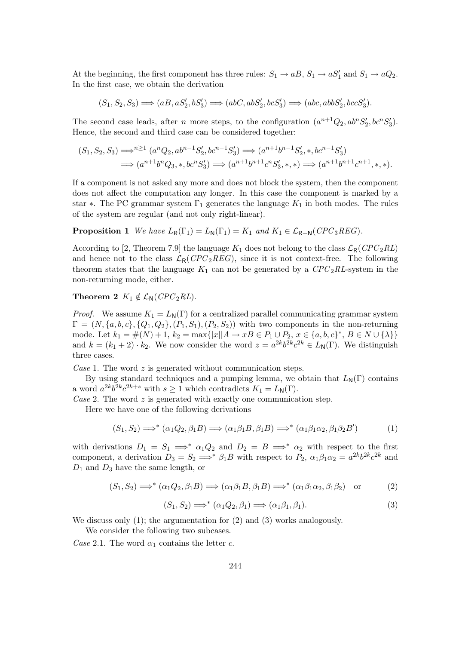At the beginning, the first component has three rules:  $S_1 \rightarrow aB$ ,  $S_1 \rightarrow aS'_1$  and  $S_1 \rightarrow aQ_2$ . In the first case, we obtain the derivation

$$
(S_1, S_2, S_3) \Longrightarrow (aB, aS'_2, bS'_3) \Longrightarrow (abC, abS'_2, bcS'_3) \Longrightarrow (abc, abbS'_2, bccS'_3).
$$

The second case leads, after *n* more steps, to the configuration  $(a^{n+1}Q_2, ab^nS'_2, bc^nS'_3)$ . Hence, the second and third case can be considered together:

$$
(S_1, S_2, S_3) \Longrightarrow^{n \geq 1} (a^n Q_2, ab^{n-1} S_2', bc^{n-1} S_3') \Longrightarrow (a^{n+1} b^{n-1} S_2', *, bc^{n-1} S_3')
$$
  

$$
\Longrightarrow (a^{n+1} b^n Q_3, *, bc^n S_3') \Longrightarrow (a^{n+1} b^{n+1} c^n S_3', *, *) \Longrightarrow (a^{n+1} b^{n+1} c^{n+1}, *, *).
$$

If a component is not asked any more and does not block the system, then the component does not affect the computation any longer. In this case the component is marked by a star  $\ast$ . The PC grammar system  $\Gamma_1$  generates the language  $K_1$  in both modes. The rules of the system are regular (and not only right-linear).

**Proposition 1** We have  $L_{\mathsf{R}}(\Gamma_1) = L_{\mathsf{N}}(\Gamma_1) = K_1$  and  $K_1 \in \mathcal{L}_{\mathsf{R}+\mathsf{N}}(CPC_3REG)$ .

According to [2, Theorem 7.9] the language  $K_1$  does not belong to the class  $\mathcal{L}_R(CPC_2RL)$ and hence not to the class  $\mathcal{L}_{R}(CPC_{2}REG)$ , since it is not context-free. The following theorem states that the language  $K_1$  can not be generated by a  $CPC_2RL$ -system in the non-returning mode, either.

## Theorem 2  $K_1 \notin \mathcal{L}_N(CPC_2RL)$ .

*Proof.* We assume  $K_1 = L_N(\Gamma)$  for a centralized parallel communicating grammar system  $\Gamma = (N, \{a, b, c\}, \{Q_1, Q_2\}, (P_1, S_1), (P_2, S_2))$  with two components in the non-returning mode. Let  $k_1 = \#(N) + 1$ ,  $k_2 = \max\{|x||A \to xB \in P_1 \cup P_2, x \in \{a, b, c\}^*, B \in N \cup \{\lambda\}\}\$ and  $k = (k_1 + 2) \cdot k_2$ . We now consider the word  $z = a^{2k}b^{2k}c^{2k} \in L_{\mathbb{N}}(\Gamma)$ . We distinguish three cases.

Case 1. The word  $z$  is generated without communication steps.

By using standard techniques and a pumping lemma, we obtain that  $L_N(\Gamma)$  contains a word  $a^{2k}b^{2k}c^{2k+s}$  with  $s \ge 1$  which contradicts  $K_1 = L_N(\Gamma)$ .

Case 2. The word  $z$  is generated with exactly one communication step.

Here we have one of the following derivations

$$
(S_1, S_2) \Longrightarrow^* (\alpha_1 Q_2, \beta_1 B) \Longrightarrow (\alpha_1 \beta_1 B, \beta_1 B) \Longrightarrow^* (\alpha_1 \beta_1 \alpha_2, \beta_1 \beta_2 B') \tag{1}
$$

with derivations  $D_1 = S_1 \implies^* \alpha_1 Q_2$  and  $D_2 = B \implies^* \alpha_2$  with respect to the first component, a derivation  $D_3 = S_2 \Longrightarrow^* \beta_1 B$  with respect to  $P_2$ ,  $\alpha_1 \beta_1 \alpha_2 = a^{2k} b^{2k} c^{2k}$  and  $D_1$  and  $D_3$  have the same length, or

$$
(S_1, S_2) \Longrightarrow^* (\alpha_1 Q_2, \beta_1 B) \Longrightarrow (\alpha_1 \beta_1 B, \beta_1 B) \Longrightarrow^* (\alpha_1 \beta_1 \alpha_2, \beta_1 \beta_2) \text{ or } (2)
$$

$$
(S_1, S_2) \Longrightarrow^* (\alpha_1 Q_2, \beta_1) \Longrightarrow (\alpha_1 \beta_1, \beta_1). \tag{3}
$$

We discuss only  $(1)$ ; the argumentation for  $(2)$  and  $(3)$  works analogously.

We consider the following two subcases.

Case 2.1. The word  $\alpha_1$  contains the letter c.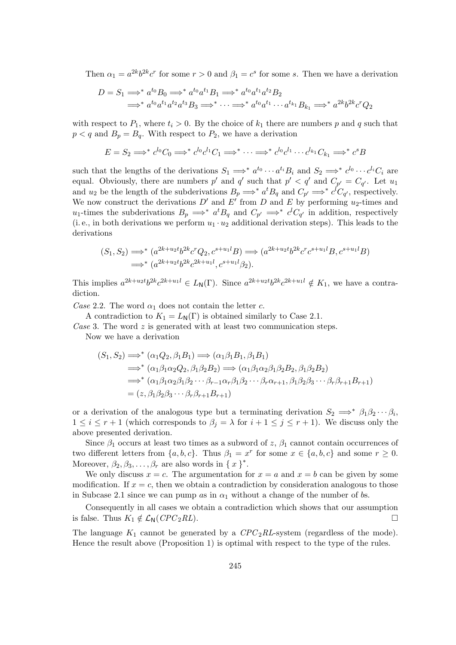Then  $\alpha_1 = a^{2k}b^{2k}c^r$  for some  $r > 0$  and  $\beta_1 = c^s$  for some s. Then we have a derivation

$$
D = S_1 \Longrightarrow^* a^{t_0} B_0 \Longrightarrow^* a^{t_0} a^{t_1} B_1 \Longrightarrow^* a^{t_0} a^{t_1} a^{t_2} B_2
$$
  

$$
\Longrightarrow^* a^{t_0} a^{t_1} a^{t_2} a^{t_3} B_3 \Longrightarrow^* \cdots \Longrightarrow^* a^{t_0} a^{t_1} \cdots a^{t_{k_1}} B_{k_1} \Longrightarrow^* a^{2k} b^{2k} c^r Q_2
$$

with respect to  $P_1$ , where  $t_i > 0$ . By the choice of  $k_1$  there are numbers p and q such that  $p < q$  and  $B_p = B_q$ . With respect to  $P_2$ , we have a derivation

$$
E = S_2 \Longrightarrow^* c^{l_0} C_0 \Longrightarrow^* c^{l_0} c^{l_1} C_1 \Longrightarrow^* \cdots \Longrightarrow^* c^{l_0} c^{l_1} \cdots c^{l_{k_1}} C_{k_1} \Longrightarrow^* c^s B
$$

such that the lengths of the derivations  $S_1 \Longrightarrow^* a^{t_0} \cdots a^{t_i} B_i$  and  $S_2 \Longrightarrow^* c^{l_0} \cdots c^{l_i} C_i$  are equal. Obviously, there are numbers p' and q' such that  $p' < q'$  and  $C_{p'} = C_{q'}$ . Let  $u_1$ and  $u_2$  be the length of the subderivations  $B_p \Longrightarrow^* a^t B_q$  and  $C_{p'} \Longrightarrow^* c^l C_{q'}$ , respectively. We now construct the derivations  $D'$  and  $E'$  from D and E by performing u<sub>2</sub>-times and u<sub>1</sub>-times the subderivations  $B_p \implies^* a^t B_q$  and  $C_{p'} \implies^* c^l C_{q'}$  in addition, respectively (i. e., in both derivations we perform  $u_1 \cdot u_2$  additional derivation steps). This leads to the derivations

$$
(S_1, S_2) \Longrightarrow^* (a^{2k+u_2t} b^{2k} c^r Q_2, c^{s+u_1l} B) \Longrightarrow (a^{2k+u_2t} b^{2k} c^r c^{s+u_1l} B, c^{s+u_1l} B)
$$
  

$$
\Longrightarrow^* (a^{2k+u_2t} b^{2k} c^{2k+u_1l}, c^{s+u_1l} \beta_2).
$$

This implies  $a^{2k+u_2t}b^{2k}c^{2k+u_1l} \in L_{\mathsf{N}}(\Gamma)$ . Since  $a^{2k+u_2t}b^{2k}c^{2k+u_1l} \notin K_1$ , we have a contradiction.

Case 2.2. The word  $\alpha_1$  does not contain the letter c.

A contradiction to  $K_1 = L_N(\Gamma)$  is obtained similarly to Case 2.1.

Case 3. The word  $z$  is generated with at least two communication steps.

Now we have a derivation

$$
(S_1, S_2) \Longrightarrow^* (\alpha_1 Q_2, \beta_1 B_1) \Longrightarrow (\alpha_1 \beta_1 B_1, \beta_1 B_1)
$$
  
\n
$$
\Longrightarrow^* (\alpha_1 \beta_1 \alpha_2 Q_2, \beta_1 \beta_2 B_2) \Longrightarrow (\alpha_1 \beta_1 \alpha_2 \beta_1 \beta_2 B_2, \beta_1 \beta_2 B_2)
$$
  
\n
$$
\Longrightarrow^* (\alpha_1 \beta_1 \alpha_2 \beta_1 \beta_2 \cdots \beta_{r-1} \alpha_r \beta_1 \beta_2 \cdots \beta_r \alpha_{r+1}, \beta_1 \beta_2 \beta_3 \cdots \beta_r \beta_{r+1} B_{r+1})
$$
  
\n
$$
= (z, \beta_1 \beta_2 \beta_3 \cdots \beta_r \beta_{r+1} B_{r+1})
$$

or a derivation of the analogous type but a terminating derivation  $S_2 \implies^* \beta_1 \beta_2 \cdots \beta_i$  $1 \leq i \leq r+1$  (which corresponds to  $\beta_i = \lambda$  for  $i+1 \leq j \leq r+1$ ). We discuss only the above presented derivation.

Since  $\beta_1$  occurs at least two times as a subword of z,  $\beta_1$  cannot contain occurrences of two different letters from  $\{a, b, c\}$ . Thus  $\beta_1 = x^r$  for some  $x \in \{a, b, c\}$  and some  $r \ge 0$ . Moreover,  $\beta_2, \beta_3, \ldots, \beta_r$  are also words in {  $x$  }<sup>\*</sup>.

We only discuss  $x = c$ . The argumentation for  $x = a$  and  $x = b$  can be given by some modification. If  $x = c$ , then we obtain a contradiction by consideration analogous to those in Subcase 2.1 since we can pump as in  $\alpha_1$  without a change of the number of bs.

Consequently in all cases we obtain a contradiction which shows that our assumption is false. Thus  $K_1 \notin \mathcal{L}_N(CPC_2RL)$ .

The language  $K_1$  cannot be generated by a  $CPC_2RL$ -system (regardless of the mode). Hence the result above (Proposition 1) is optimal with respect to the type of the rules.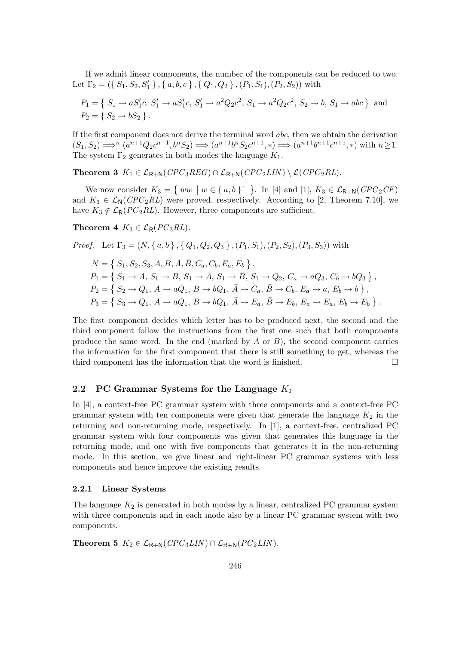If we admit linear components, the number of the components can be reduced to two. Let  $\Gamma_2 = (\{S_1, S_2, S'_1\}, \{a, b, c\}, \{Q_1, Q_2\}, (P_1, S_1), (P_2, S_2))$  with

$$
P_1 = \{ S_1 \to aS_1'c, S_1' \to aS_1'c, S_1' \to a^2Q_2c^2, S_1 \to a^2Q_2c^2, S_2 \to b, S_1 \to abc \}
$$
 and  

$$
P_2 = \{ S_2 \to bS_2 \}.
$$

If the first component does not derive the terminal word abc, then we obtain the derivation  $(S_1, S_2) \Longrightarrow^n (a^{n+1}Q_2c^{n+1}, b^nS_2) \Longrightarrow (a^{n+1}b^nS_2c^{n+1}, *) \Longrightarrow (a^{n+1}b^{n+1}c^{n+1}, *) \text{ with } n \geq 1.$ The system  $\Gamma_2$  generates in both modes the language  $K_1$ .

Theorem 3  $K_1 \in \mathcal{L}_{\mathsf{R}+\mathsf{N}}(CPC_3REG) \cap \mathcal{L}_{\mathsf{R}+\mathsf{N}}(CPC_2LIN) \setminus \mathcal{L}(CPC_2RL)$ .

We now consider  $K_3 = \{ ww \mid w \in \{a, b\}^+\}$ . In [4] and [1],  $K_3 \in \mathcal{L}_{\mathsf{R}+\mathsf{N}}(CPC_2CF)$ and  $K_3 \in \mathcal{L}_N(CPC_2RL)$  were proved, respectively. According to [2, Theorem 7.10], we have  $K_3 \notin \mathcal{L}_{\mathsf{R}}(PC_2RL)$ . However, three components are sufficient.

Theorem 4  $K_3 \in \mathcal{L}_{\mathsf{R}}(PC_3RL)$ .

*Proof.* Let  $\Gamma_3 = (N, \{a, b\}, \{Q_1, Q_2, Q_3\}, (P_1, S_1), (P_2, S_2), (P_3, S_3))$  with

$$
N = \{ S_1, S_2, S_3, A, B, \overline{A}, \overline{B}, C_a, C_b, E_a, E_b \},
$$
  
\n
$$
P_1 = \{ S_1 \to A, S_1 \to B, S_1 \to \overline{A}, S_1 \to \overline{B}, S_1 \to Q_2, C_a \to aQ_3, C_b \to bQ_3 \},
$$
  
\n
$$
P_2 = \{ S_2 \to Q_1, A \to aQ_1, B \to bQ_1, \overline{A} \to C_a, \overline{B} \to C_b, E_a \to a, E_b \to b \},
$$
  
\n
$$
P_3 = \{ S_3 \to Q_1, A \to aQ_1, B \to bQ_1, \overline{A} \to E_a, \overline{B} \to E_b, E_a \to E_a, E_b \to E_b \}.
$$

The first component decides which letter has to be produced next, the second and the third component follow the instructions from the first one such that both components produce the same word. In the end (marked by  $\overline{A}$  or  $\overline{B}$ ), the second component carries the information for the first component that there is still something to get, whereas the third component has the information that the word is finished.

#### 2.2 PC Grammar Systems for the Language  $K_2$

In [4], a context-free PC grammar system with three components and a context-free PC grammar system with ten components were given that generate the language  $K_2$  in the returning and non-returning mode, respectively. In [1], a context-free, centralized PC grammar system with four components was given that generates this language in the returning mode, and one with five components that generates it in the non-returning mode. In this section, we give linear and right-linear PC grammar systems with less components and hence improve the existing results.

#### 2.2.1 Linear Systems

The language  $K_2$  is generated in both modes by a linear, centralized PC grammar system with three components and in each mode also by a linear PC grammar system with two components.

Theorem 5  $K_2 \in \mathcal{L}_{\mathsf{R}+\mathsf{N}}(CPC_3LIN) \cap \mathcal{L}_{\mathsf{R}+\mathsf{N}}(PC_2LIN)$ .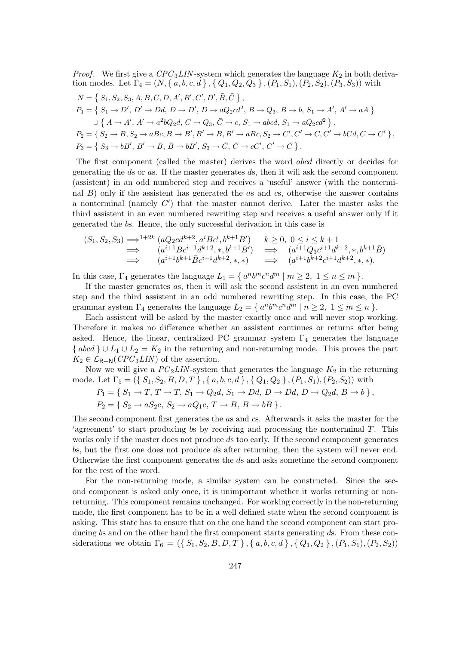*Proof.* We first give a  $CPC_3LIN$ -system which generates the language  $K_2$  in both derivation modes. Let  $\Gamma_4 = (N, \{a, b, c, d\}, \{Q_1, Q_2, Q_3\}, (P_1, S_1), (P_2, S_2), (P_3, S_3))$  with

$$
N = \{ S_1, S_2, S_3, A, B, C, D, A', B', C', D', \overline{B}, \overline{C} \},
$$
  
\n
$$
P_1 = \{ S_1 \rightarrow D', D' \rightarrow Dd, D \rightarrow D', D \rightarrow aQ_2cd^2, B \rightarrow Q_3, \overline{B} \rightarrow b, S_1 \rightarrow A', A' \rightarrow aA \}
$$
  
\n
$$
\cup \{ A \rightarrow A', A' \rightarrow a^2bQ_2d, C \rightarrow Q_3, \overline{C} \rightarrow c, S_1 \rightarrow abcd, S_1 \rightarrow aQ_2cd^2 \},
$$
  
\n
$$
P_2 = \{ S_2 \rightarrow B, S_2 \rightarrow aBc, B \rightarrow B', B' \rightarrow B, B' \rightarrow aBc, S_2 \rightarrow C', C' \rightarrow C, C' \rightarrow bCd, C \rightarrow C' \},
$$
  
\n
$$
P_3 = \{ S_3 \rightarrow bB', B' \rightarrow \overline{B}, \overline{B} \rightarrow bB', S_3 \rightarrow \overline{C}, \overline{C} \rightarrow cC', C' \rightarrow \overline{C} \}.
$$

The first component (called the master) derives the word abcd directly or decides for generating the ds or as. If the master generates ds, then it will ask the second component (assistent) in an odd numbered step and receives a 'useful' answer (with the nonterminal  $B$ ) only if the assistent has generated the  $as$  and  $cs$ , otherwise the answer contains a nonterminal (namely  $C'$ ) that the master cannot derive. Later the master asks the third assistent in an even numbered rewriting step and receives a useful answer only if it generated the bs. Hence, the only successful derivation in this case is

$$
(S_1, S_2, S_3) \Longrightarrow^{1+2k} (aQ_2cd^{k+2}, a^iBc^i, b^{k+1}B') \quad k \ge 0, \ 0 \le i \le k+1
$$
  
\n
$$
\Longrightarrow (a^{i+1}Bc^{i+1}d^{k+2}, *, b^{k+1}B') \Longrightarrow (a^{i+1}Q_3c^{i+1}d^{k+2}, *, b^{k+1}\overline{B})
$$
  
\n
$$
\Longrightarrow (a^{i+1}b^{k+1}\overline{B}c^{i+1}d^{k+2}, *, *) \Longrightarrow (a^{i+1}b^{k+2}c^{i+1}d^{k+2}, *, *).
$$

In this case,  $\Gamma_4$  generates the language  $L_1 = \{ a^n b^m c^n d^m \mid m \ge 2, 1 \le n \le m \}$ .

If the master generates as, then it will ask the second assistent in an even numbered step and the third assistent in an odd numbered rewriting step. In this case, the PC grammar system  $\Gamma_4$  generates the language  $L_2 = \{ a^n b^m c^n d^m \mid n \geq 2, 1 \leq m \leq n \}$ .

Each assistent will be asked by the master exactly once and will never stop working. Therefore it makes no difference whether an assistent continues or returns after being asked. Hence, the linear, centralized PC grammar system  $\Gamma_4$  generates the language  $\{abcd\}\cup L_1\cup L_2=K_2$  in the returning and non-returning mode. This proves the part  $K_2 \in \mathcal{L}_{\mathsf{R}+\mathsf{N}}(CPC_3LIN)$  of the assertion.

Now we will give a  $PC_2LIN$ -system that generates the language  $K_2$  in the returning mode. Let  $\Gamma_5 = (\{S_1, S_2, B, D, T\}, \{a, b, c, d\}, \{Q_1, Q_2\}, (P_1, S_1), (P_2, S_2))$  with

 $P_1 = \{ S_1 \rightarrow T, T \rightarrow T, S_1 \rightarrow Q_2d, S_1 \rightarrow Dd, D \rightarrow Dd, D \rightarrow Q_2d, B \rightarrow b \}$ 

 $P_2 = \{ S_2 \rightarrow aS_2c, S_2 \rightarrow aQ_1c, T \rightarrow B, B \rightarrow bB \}$ .

The second component first generates the as and cs. Afterwards it asks the master for the 'agreement' to start producing bs by receiving and processing the nonterminal  $T$ . This works only if the master does not produce ds too early. If the second component generates bs, but the first one does not produce ds after returning, then the system will never end. Otherwise the first component generates the ds and asks sometime the second component for the rest of the word.

For the non-returning mode, a similar system can be constructed. Since the second component is asked only once, it is unimportant whether it works returning or nonreturning. This component remains unchanged. For working correctly in the non-returning mode, the first component has to be in a well defined state when the second component is asking. This state has to ensure that on the one hand the second component can start producing bs and on the other hand the first component starts generating ds. From these considerations we obtain  $\Gamma_6 = (\{S_1, S_2, B, D, T\}, \{a, b, c, d\}, \{Q_1, Q_2\}, (P_1, S_1), (P_2, S_2))$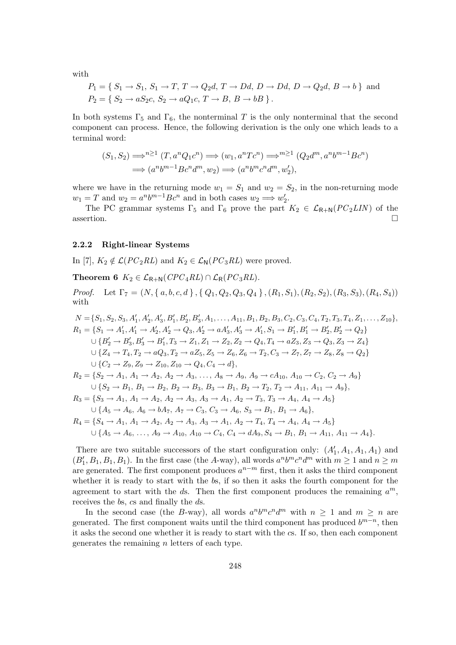with

$$
P_1 = \{ S_1 \rightarrow S_1, S_1 \rightarrow T, T \rightarrow Q_2d, T \rightarrow Dd, D \rightarrow Dd, D \rightarrow Q_2d, B \rightarrow b \}
$$
 and  

$$
P_2 = \{ S_2 \rightarrow aS_2c, S_2 \rightarrow aQ_1c, T \rightarrow B, B \rightarrow bB \}.
$$

In both systems  $\Gamma_5$  and  $\Gamma_6$ , the nonterminal T is the only nonterminal that the second component can process. Hence, the following derivation is the only one which leads to a terminal word:

$$
(S_1, S_2) \Longrightarrow^{n \geq 1} (T, a^n Q_1 c^n) \Longrightarrow (w_1, a^n T c^n) \Longrightarrow^{m \geq 1} (Q_2 d^m, a^n b^{m-1} B c^n)
$$
  

$$
\Longrightarrow (a^n b^{m-1} B c^n d^m, w_2) \Longrightarrow (a^n b^m c^n d^m, w_2'),
$$

where we have in the returning mode  $w_1 = S_1$  and  $w_2 = S_2$ , in the non-returning mode  $w_1 = T$  and  $w_2 = a^n b^{m-1} B c^n$  and in both cases  $w_2 \Longrightarrow w'_2$ .

The PC grammar systems  $\Gamma_5$  and  $\Gamma_6$  prove the part  $K_2 \in \mathcal{L}_{R+N}(PC_2LIN)$  of the  $\Box$ assertion.

#### 2.2.2 Right-linear Systems

In [7],  $K_2 \notin \mathcal{L}(PC_2RL)$  and  $K_2 \in \mathcal{L}_N(PC_3RL)$  were proved.

Theorem 6  $K_2 \in \mathcal{L}_{\mathsf{R}+\mathsf{N}}(\mathit{CPC}_4\mathit{RL}) \cap \mathcal{L}_{\mathsf{R}}(\mathit{PC}_3\mathit{RL}).$ 

*Proof.* Let  $\Gamma_7 = (N, \{a, b, c, d\}, \{Q_1, Q_2, Q_3, Q_4\}, (R_1, S_1), (R_2, S_2), (R_3, S_3), (R_4, S_4))$ with

$$
N = \{S_1, S_2, S_3, A'_1, A'_2, A'_3, B'_1, B'_2, B'_3, A_1, \ldots, A_{11}, B_1, B_2, B_3, C_2, C_3, C_4, T_2, T_3, T_4, Z_1, \ldots, Z_{10}\},
$$
  
\n
$$
R_1 = \{S_1 \rightarrow A'_1, A'_1 \rightarrow A'_2, A'_2 \rightarrow Q_3, A'_2 \rightarrow aA'_3, A'_3 \rightarrow A'_1, S_1 \rightarrow B'_1, B'_1 \rightarrow B'_2, B'_2 \rightarrow Q_2\}
$$
  
\n
$$
\cup \{B'_2 \rightarrow B'_3, B'_3 \rightarrow B'_1, T_3 \rightarrow Z_1, Z_1 \rightarrow Z_2, Z_2 \rightarrow Q_4, T_4 \rightarrow aZ_3, Z_3 \rightarrow Q_3, Z_3 \rightarrow Z_4\}
$$
  
\n
$$
\cup \{Z_4 \rightarrow T_4, T_2 \rightarrow aQ_3, T_2 \rightarrow aZ_5, Z_5 \rightarrow Z_6, Z_6 \rightarrow T_2, C_3 \rightarrow Z_7, Z_7 \rightarrow Z_8, Z_8 \rightarrow Q_2\}
$$
  
\n
$$
\cup \{C_2 \rightarrow Z_9, Z_9 \rightarrow Z_{10}, Z_{10} \rightarrow Q_4, C_4 \rightarrow d\},
$$
  
\n
$$
R_2 = \{S_2 \rightarrow A_1, A_1 \rightarrow A_2, A_2 \rightarrow A_3, \ldots, A_8 \rightarrow A_9, A_9 \rightarrow cA_{10}, A_{10} \rightarrow C_2, C_2 \rightarrow A_9\}
$$
  
\n
$$
\cup \{S_2 \rightarrow B_1, B_1 \rightarrow B_2, B_2 \rightarrow B_3, B_3 \rightarrow B_1, B_2 \rightarrow T_2, T_2 \rightarrow A_{11}, A_{11} \rightarrow A_9\},
$$
  
\n
$$
R_3 = \{S_3 \rightarrow A_1, A_1 \rightarrow A_2, A_2 \rightarrow A_3, A_3 \rightarrow A_1, A_2 \rightarrow T_3, T_3 \rightarrow A_4, A_4 \rightarrow A_5\}
$$
  
\n
$$
\cup \{A_5 \rightarrow A_6, A_6 \rightarrow bA_7, A_7 \rightarrow C_3, C_3 \rightarrow A_6, S_3 \rightarrow B_1, B_1 \rightarrow A_6\},
$$
  
\n

There are two suitable successors of the start configuration only:  $(A'_1, A_1, A_1, A_1)$  and  $(B'_1, B_1, B_1, B_1)$ . In the first case (the A-way), all words  $a^n b^m c^n d^m$  with  $m \ge 1$  and  $n \ge m$ are generated. The first component produces  $a^{n-m}$  first, then it asks the third component whether it is ready to start with the bs, if so then it asks the fourth component for the agreement to start with the ds. Then the first component produces the remaining  $a^m$ , receives the bs, cs and finally the ds.

In the second case (the B-way), all words  $a^n b^m c^n d^m$  with  $n \geq 1$  and  $m \geq n$  are generated. The first component waits until the third component has produced  $b^{m-n}$ , then it asks the second one whether it is ready to start with the cs. If so, then each component generates the remaining  $n$  letters of each type.